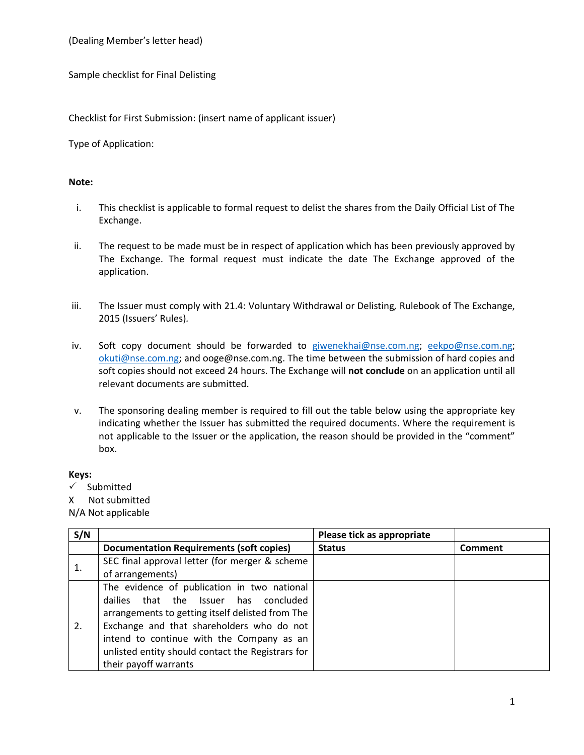(Dealing Member's letter head)

Sample checklist for Final Delisting

Checklist for First Submission: (insert name of applicant issuer)

Type of Application:

## **Note:**

- i. This checklist is applicable to formal request to delist the shares from the Daily Official List of The Exchange.
- ii. The request to be made must be in respect of application which has been previously approved by The Exchange. The formal request must indicate the date The Exchange approved of the application.
- iii. The Issuer must comply with 21.4: Voluntary Withdrawal or Delisting*,* Rulebook of The Exchange, 2015 (Issuers' Rules)*.*
- iv. Soft copy document should be forwarded to [giwenekhai@nse.com.ng;](mailto:giwenekhai@nse.com.ng) [eekpo@nse.com.ng;](mailto:eekpo@nse.com.ng) [okuti@nse.com.ng;](mailto:okuti@nse.com.ng) and ooge@nse.com.ng. The time between the submission of hard copies and soft copies should not exceed 24 hours. The Exchange will **not conclude** on an application until all relevant documents are submitted.
- v. The sponsoring dealing member is required to fill out the table below using the appropriate key indicating whether the Issuer has submitted the required documents. Where the requirement is not applicable to the Issuer or the application, the reason should be provided in the "comment" box.

## **Keys:**

 $\checkmark$  Submitted

X Not submitted

N/A Not applicable

| S/N |                                                   | Please tick as appropriate |                |
|-----|---------------------------------------------------|----------------------------|----------------|
|     | <b>Documentation Requirements (soft copies)</b>   | <b>Status</b>              | <b>Comment</b> |
| 1.  | SEC final approval letter (for merger & scheme    |                            |                |
|     | of arrangements)                                  |                            |                |
| 2.  | The evidence of publication in two national       |                            |                |
|     | dailies that the Issuer has concluded             |                            |                |
|     | arrangements to getting itself delisted from The  |                            |                |
|     | Exchange and that shareholders who do not         |                            |                |
|     | intend to continue with the Company as an         |                            |                |
|     | unlisted entity should contact the Registrars for |                            |                |
|     | their payoff warrants                             |                            |                |